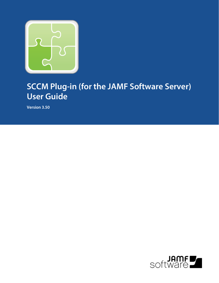

# **SCCM Plug-in (for the JAMF Software Server) User Guide**

**Version 3.50**

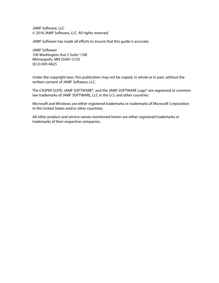JAMF Software, LLC © 2016 JAMF Software, LLC. All rights reserved.

JAMF Software has made all efforts to ensure that this guide is accurate.

JAMF Software 100 Washington Ave S Suite 1100 Minneapolis, MN 55401-2155 (612) 605-6625

Under the copyright laws, this publication may not be copied, in whole or in part, without the written consent of JAMF Software, LLC.

The CASPER SUITE, JAMF SOFTWARE®, and the JAMF SOFTWARE Logo® are registered or common law trademarks of JAMF SOFTWARE, LLC in the U.S. and other countries.

Microsoft and Windows are either registered trademarks or trademarks of Microsoft Corporation in the United States and/or other countries.

All other product and service names mentioned herein are either registered trademarks or trademarks of their respective companies.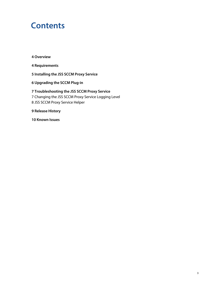### **Contents**

**[Overview](#page-3-0)**

**[Requirements](#page-3-1)**

**[Installing the JSS SCCM Proxy Service](#page-4-0)**

**[Upgrading the SCCM Plug-in](#page-5-0)**

 **[Troubleshooting the JSS SCCM Proxy Service](#page-6-0)** [Changing the JSS SCCM Proxy Service Logging Level](#page-6-1) [JSS SCCM Proxy Service Helper](#page-7-0)

**[Release History](#page-8-0)**

**[Known Issues](#page-9-0)**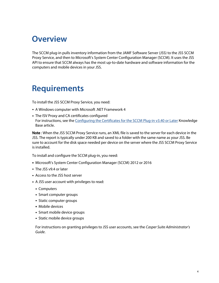#### <span id="page-3-0"></span>**Overview**

The SCCM plug-in pulls inventory information from the JAMF Software Server (JSS) to the JSS SCCM Proxy Service, and then to Microsoft's System Center Configuration Manager (SCCM). It uses the JSS API to ensure that SCCM always has the most up-to-date hardware and software information for the computers and mobile devices in your JSS.

### <span id="page-3-1"></span>**Requirements**

To install the JSS SCCM Proxy Service, you need:

- A Windows computer with Microsoft .NET Framework 4
- The ISV Proxy and CA certificates configured For instructions, see the [Configuring the Certificates for the SCCM Plug-in v3.40 or Later](https://jamfnation.jamfsoftware.com/article.html?id=371) Knowledge Base article.

Note : When the JSS SCCM Proxy Service runs, an XML file is saved to the server for each device in the JSS. The report is typically under 200 KB and saved to a folder with the same name as your JSS. Be sure to account for the disk space needed per device on the server where the JSS SCCM Proxy Service is installed.

To install and configure the SCCM plug-in, you need:

- Microsoft's System Center Configuration Manager (SCCM) 2012 or 2016
- The JSS v9.4 or later
- Access to the JSS host server
- A JSS user account with privileges to read:
	- **Computers**
	- Smart computer groups
	- Static computer groups
	- **Mobile devices**
	- Smart mobile device groups
	- Static mobile device groups

For instructions on granting privileges to JSS user accounts, see the *Casper Suite Administrator's Guide*.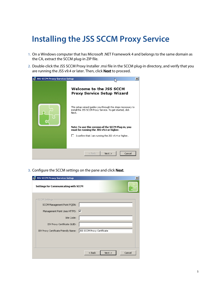# <span id="page-4-0"></span>**Installing the JSS SCCM Proxy Service**

- 1. On a Windows computer that has Microsoft .NET Framework 4 and belongs to the same domain as the CA, extract the SCCM plug-in ZIP file.
- 2. Double-click the JSS SCCM Proxy Installer .msi file in the SCCM plug-in directory, and verify that you are running the JSS v9.4 or later. Then, click **Next** to proceed.



3. Configure the SCCM settings on the pane and click Next.

|                                      | <b>JSS SCCM Proxy Service Setup</b><br>$\vert x \vert$ |                            |  |  |  |
|--------------------------------------|--------------------------------------------------------|----------------------------|--|--|--|
| Settings for Communicating with SCCM |                                                        |                            |  |  |  |
|                                      | SCCM Settings                                          |                            |  |  |  |
|                                      | SCCM Management Point FQDN:                            |                            |  |  |  |
|                                      | Management Point Uses HTTPS: V                         |                            |  |  |  |
|                                      | Site Code:                                             |                            |  |  |  |
|                                      | ISV Proxy Certificate GUID:                            |                            |  |  |  |
|                                      | ISV Proxy Certificate Friendly Name:                   | JSS SCCM Proxy Certificate |  |  |  |
|                                      |                                                        |                            |  |  |  |
|                                      |                                                        |                            |  |  |  |
|                                      |                                                        | Next<br>$<$ Back<br>Cancel |  |  |  |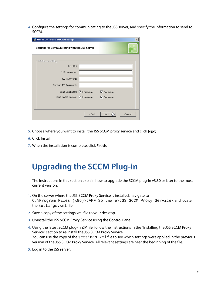4. Configure the settings for communicating to the JSS server, and specify the information to send to SCCM.

| <b>JSS SCCM Proxy Service Setup</b><br>×       |                           |                     |        |  |  |  |
|------------------------------------------------|---------------------------|---------------------|--------|--|--|--|
| Settings for Communicating with the JSS Server |                           |                     |        |  |  |  |
| - JSS Server Settings                          |                           |                     |        |  |  |  |
| JSS URL:                                       |                           |                     |        |  |  |  |
| JSS Username:                                  |                           |                     |        |  |  |  |
| JSS Password:                                  |                           |                     |        |  |  |  |
| Confirm JSS Password:                          |                           |                     |        |  |  |  |
|                                                | Send Computer: V Hardware | $\nabla$ Software   |        |  |  |  |
| Send Mobile Device: V Hardware                 |                           | ■ <b>V</b> Software |        |  |  |  |
|                                                |                           |                     |        |  |  |  |
|                                                |                           |                     |        |  |  |  |
|                                                | $<$ Back                  | Next                | Cancel |  |  |  |

- 5. Choose where you want to install the JSS SCCM proxy service and click **Next**.
- 6. Click Install.
- 7. When the installation is complete, click Finish.

### <span id="page-5-0"></span>**Upgrading the SCCM Plug-in**

The instructions in this section explain how to upgrade the SCCM plug-in v3.30 or later to the most current version.

- 1. On the server where the JSS SCCM Proxy Service is installed, navigate to C:\Program Files (x86)\JAMF Software\JSS SCCM Proxy Service\ and locate the settings.xml file.
- 2. Save a copy of the settings.xml file to your desktop.
- 3. Uninstall the JSS SCCM Proxy Service using the Control Panel.
- 4. Using the latest SCCM plug-in ZIP file, follow the instructions in the "Installing the JSS SCCM Proxy Service" section to re-install the JSS SCCM Proxy Service. You can use the copy of the settings. xml file to see which settings were applied in the previous version of the JSS SCCM Proxy Service. All relevant settings are near the beginning of the file.
- 5. Log in to the JSS server.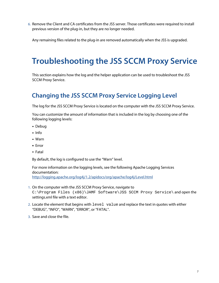6. Remove the Client and CA certificates from the JSS server. Those certificates were required to install previous version of the plug-in, but they are no longer needed.

Any remaining files related to the plug-in are removed automatically when the JSS is upgraded.

# <span id="page-6-0"></span>**Troubleshooting the JSS SCCM Proxy Service**

This section explains how the log and the helper application can be used to troubleshoot the JSS SCCM Proxy Service.

#### <span id="page-6-1"></span>**Changing the JSS SCCM Proxy Service Logging Level**

The log for the JSS SCCM Proxy Service is located on the computer with the JSS SCCM Proxy Service.

You can customize the amount of information that is included in the log by choosing one of the following logging levels:

- Debug
- Info
- Warn
- **Error**
- Fatal

By default, the log is configured to use the "Warn" level.

For more information on the logging levels, see the following Apache Logging Services documentation: <http://logging.apache.org/log4j/1.2/apidocs/org/apache/log4j/Level.html>

- 1. On the computer with the JSS SCCM Proxy Service, navigate to C:\Program Files (x86)\JAMF Software\JSS SCCM Proxy Service\ and open the settings.xml file with a text editor.
- 2. Locate the element that begins with level value and replace the text in quotes with either "DEBUG", "INFO", "WARN", "ERROR", or "FATAL".
- 3. Save and close the file.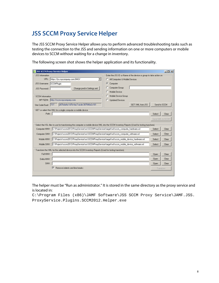#### <span id="page-7-0"></span>**JSS SCCM Proxy Service Helper**

The JSS SCCM Proxy Service Helper allows you to perform advanced troubleshooting tasks such as testing the connection to the JSS and sending information on one or more computers or mobile devices to SCCM without waiting for a change in inventory.

|                                                                                                        | <b>JSS SCCM Proxy Service Helper</b>                                                                                                        |                                |                  | $  D $ $\times$ |
|--------------------------------------------------------------------------------------------------------|---------------------------------------------------------------------------------------------------------------------------------------------|--------------------------------|------------------|-----------------|
| JSS Information<br>Enter the JSS ID or Name of the device or group to take action on                   |                                                                                                                                             |                                |                  |                 |
| URL:                                                                                                   | https://jss.mycompany.com/8443/                                                                                                             | All Computers & Mobile Devices |                  |                 |
| <b>JSS Username:</b>                                                                                   | SCCMPlugin                                                                                                                                  | G<br>Computer                  |                  |                 |
| <b>JSS Password:</b>                                                                                   | *******************************<br>Change pwd in Settings.xml                                                                               | Computer Group                 |                  |                 |
|                                                                                                        |                                                                                                                                             | Mobile Device                  |                  |                 |
| <b>SCCM Information</b>                                                                                |                                                                                                                                             | Mobile Device Group            |                  |                 |
| MP FQDN:                                                                                               | http://sccm.mycompany.com                                                                                                                   | <b>Updated Devices</b><br>C.   |                  |                 |
| Site Code/Guid:                                                                                        | a57bda4a-1d7b-4ac7-acde-387540e2c161<br><b>ITST</b>                                                                                         | GET XML from JSS               | Send to SCCM     |                 |
|                                                                                                        | GET or select the XML for a single computer or mobile device                                                                                |                                |                  |                 |
| Path:                                                                                                  |                                                                                                                                             |                                | Select           | Clear           |
|                                                                                                        |                                                                                                                                             |                                | Send XML to SCCM |                 |
|                                                                                                        | Select the XSL files to use for transforming the computer or mobile device XML into the SCCM Inventory Reports (Used for testing transform) |                                |                  |                 |
| Computer HINV:                                                                                         | C:\Projects\sccm2012\ProxyService\src\SCCMProxyService\target\xsl\sccm_computer_hardware.xsl                                                |                                | Select           | Clear           |
| Computer SINV:                                                                                         | C:\Projects\sccm2012\ProxyService\src\SCCMProxyService\target\xsl\sccm_computer_software.xsl                                                |                                | Select           | Clear           |
| Mobile HINV:                                                                                           | C:\Projects\sccm2012\ProxxService\src\SCCMProxxService\target\xsl\sccm_mobile_device_hardware.xsl                                           |                                | Select           | Clear           |
| Mobile SINV:                                                                                           | C:\Projects\sccm2012\ProxyService\src\SCCMProxyService\target\xsl\sccm_mobile_device_software.xsl                                           |                                | Select           | Clear           |
| Transform the XML for the selected device into the SCCM Inventory Reports (Used for testing transform) |                                                                                                                                             |                                |                  |                 |
| Full HINV:                                                                                             |                                                                                                                                             |                                | <b>Open</b>      | Clear           |
| Delta HINV:                                                                                            |                                                                                                                                             |                                | <b>Open</b>      | Clear           |
| SINV:                                                                                                  |                                                                                                                                             |                                | Open             | Clear           |
| Remove indents and line breaks                                                                         |                                                                                                                                             |                                | Transform        |                 |
|                                                                                                        |                                                                                                                                             |                                |                  |                 |

The following screen shot shows the helper application and its functionality.

The helper must be "Run as administrator." It is stored in the same directory as the proxy service and is located in:

C:\Program Files (x86)\JAMF Software\JSS SCCM Proxy Service\JAMF.JSS. ProxyService.Plugins.SCCM2012.Helper.exe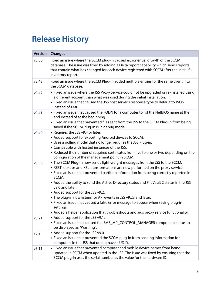# <span id="page-8-0"></span>**Release History**

| <b>Version</b> | <b>Changes</b>                                                                                                                                                                                                                                                                                                                                                                                                                                                                                                                                                                                                                                                                   |
|----------------|----------------------------------------------------------------------------------------------------------------------------------------------------------------------------------------------------------------------------------------------------------------------------------------------------------------------------------------------------------------------------------------------------------------------------------------------------------------------------------------------------------------------------------------------------------------------------------------------------------------------------------------------------------------------------------|
| v3.50          | Fixed an issue where the SCCM plug-in caused exponential growth of the SCCM<br>database. The issue was fixed by adding a Delta report capability which sends reports<br>that contain what has changed for each device registered with SCCM after the initial full-<br>inventory report.                                                                                                                                                                                                                                                                                                                                                                                          |
| v3.43          | Fixed an issue where the SCCM Plug-in added multiple entries for the same client into<br>the SCCM database.                                                                                                                                                                                                                                                                                                                                                                                                                                                                                                                                                                      |
| v3.42          | . Fixed an issue where the JSS Proxy Service could not be upgraded or re-installed using<br>a different account than what was used during the initial installation.<br>• Fixed an issue that caused the JSS host server's response type to default to JSON<br>instead of XML.                                                                                                                                                                                                                                                                                                                                                                                                    |
| v3.41          | • Fixed an issue that caused the FQDN for a computer to list the NetBIOS name at the<br>end instead of at the beginning.<br>Fixed an issue that prevented files sent from the JSS to the SCCM Plug-in from being<br>saved if the SCCM Plug-in is in debug mode.                                                                                                                                                                                                                                                                                                                                                                                                                  |
| v3.40          | Requires the JSS v9.4 or later.<br>Added support for exporting Android devices to SCCM.<br>• Uses a polling model that no longer requires the JSS Plug-in.<br>• Compatible with hosted instances of the JSS.<br>- Reduced the number of required certificates from five to one or two depending on the<br>configuration of the management point in SCCM.                                                                                                                                                                                                                                                                                                                         |
| v3.30          | . The SCCM Plug-in now sends light-weight messages from the JSS to the SCCM.<br>- REST lookups and XSL transformations are now performed on the proxy service.<br>• Fixed an issue that prevented partition information from being correctly reported in<br>SCCM.<br>- Added the ability to send the Active Directory status and FileVault 2 status in the JSS<br>v9.0 and later.<br>Added support for the JSS v9.2.<br>- The plug-in now listens for API events in JSS v9.23 and later.<br>• Fixed an issue that caused a false error message to appear when saving plug-in<br>settings.<br>Added a helper application that troubleshoots and aids proxy service functionality. |
| v3.21          | Added support for the JSS v9.1.<br>Fixed an issue that caused the SMS_MP_CONTROL_MANAGER component status to<br>be displayed as "Warning".                                                                                                                                                                                                                                                                                                                                                                                                                                                                                                                                       |
| v3.2           | Added support for the JSS v9.0.<br>Fixed an issue that prevented the SCCM plug-in from sending information for<br>computers in the JSS that do not have a UDID.                                                                                                                                                                                                                                                                                                                                                                                                                                                                                                                  |
| v3.11          | • Fixed an issue that prevented computer and mobile device names from being<br>updated in SCCM when updated in the JSS. The issue was fixed by ensuring that the<br>SCCM plug-in uses the serial number as the value for the hardware ID.                                                                                                                                                                                                                                                                                                                                                                                                                                        |